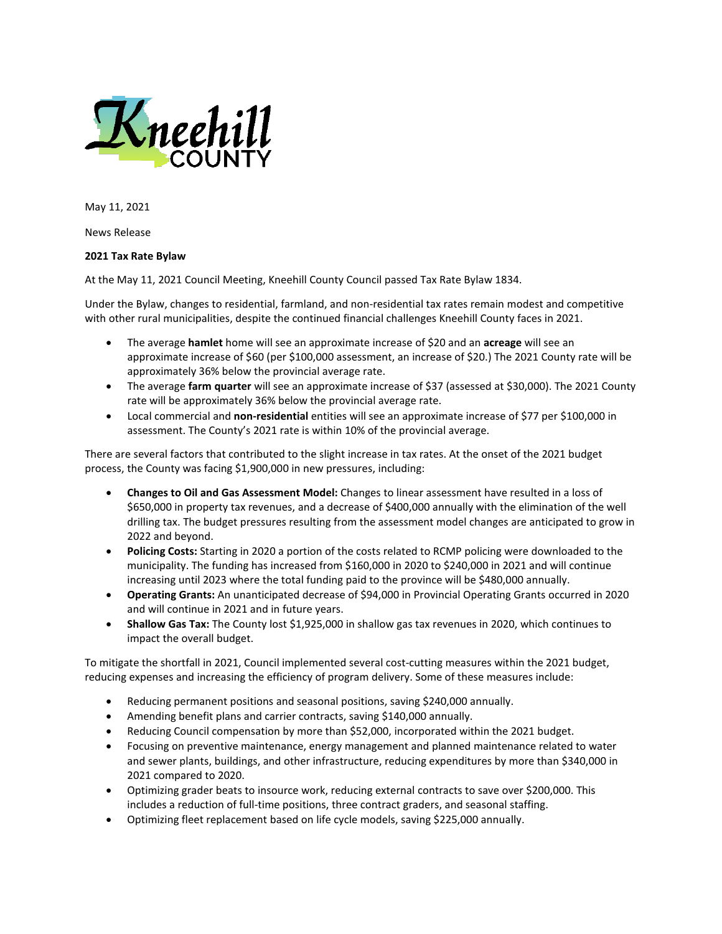

May 11, 2021

News Release

## **2021 Tax Rate Bylaw**

At the May 11, 2021 Council Meeting, Kneehill County Council passed Tax Rate Bylaw 1834.

Under the Bylaw, changes to residential, farmland, and non-residential tax rates remain modest and competitive with other rural municipalities, despite the continued financial challenges Kneehill County faces in 2021.

- The average **hamlet** home will see an approximate increase of \$20 and an **acreage** will see an approximate increase of \$60 (per \$100,000 assessment, an increase of \$20.) The 2021 County rate will be approximately 36% below the provincial average rate.
- The average **farm quarter** will see an approximate increase of \$37 (assessed at \$30,000). The 2021 County rate will be approximately 36% below the provincial average rate.
- Local commercial and **non-residential** entities will see an approximate increase of \$77 per \$100,000 in assessment. The County's 2021 rate is within 10% of the provincial average.

There are several factors that contributed to the slight increase in tax rates. At the onset of the 2021 budget process, the County was facing \$1,900,000 in new pressures, including:

- **Changes to Oil and Gas Assessment Model:** Changes to linear assessment have resulted in a loss of \$650,000 in property tax revenues, and a decrease of \$400,000 annually with the elimination of the well drilling tax. The budget pressures resulting from the assessment model changes are anticipated to grow in 2022 and beyond.
- **Policing Costs:** Starting in 2020 a portion of the costs related to RCMP policing were downloaded to the municipality. The funding has increased from \$160,000 in 2020 to \$240,000 in 2021 and will continue increasing until 2023 where the total funding paid to the province will be \$480,000 annually.
- **Operating Grants:** An unanticipated decrease of \$94,000 in Provincial Operating Grants occurred in 2020 and will continue in 2021 and in future years.
- **Shallow Gas Tax:** The County lost \$1,925,000 in shallow gas tax revenues in 2020, which continues to impact the overall budget.

To mitigate the shortfall in 2021, Council implemented several cost-cutting measures within the 2021 budget, reducing expenses and increasing the efficiency of program delivery. Some of these measures include:

- Reducing permanent positions and seasonal positions, saving \$240,000 annually.
- Amending benefit plans and carrier contracts, saving \$140,000 annually.
- Reducing Council compensation by more than \$52,000, incorporated within the 2021 budget.
- Focusing on preventive maintenance, energy management and planned maintenance related to water and sewer plants, buildings, and other infrastructure, reducing expenditures by more than \$340,000 in 2021 compared to 2020.
- Optimizing grader beats to insource work, reducing external contracts to save over \$200,000. This includes a reduction of full-time positions, three contract graders, and seasonal staffing.
- Optimizing fleet replacement based on life cycle models, saving \$225,000 annually.